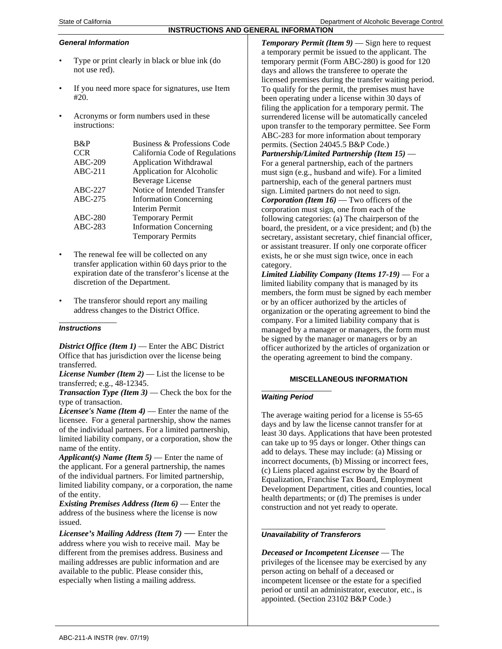#### *General Information*

- Type or print clearly in black or blue ink (do not use red).
- If you need more space for signatures, use Item #20.
- Acronyms or form numbers used in these instructions:

| $B\&P$     | Business & Professions Code    |
|------------|--------------------------------|
| <b>CCR</b> | California Code of Regulations |
| $ABC-209$  | <b>Application Withdrawal</b>  |
| $ABC-211$  | Application for Alcoholic      |
|            | <b>Beverage License</b>        |
| $ABC-227$  | Notice of Intended Transfer    |
| $ABC-275$  | <b>Information Concerning</b>  |
|            | Interim Permit                 |
| $ABC-280$  | <b>Temporary Permit</b>        |
| $ABC-283$  | <b>Information Concerning</b>  |
|            | <b>Temporary Permits</b>       |
|            |                                |

- The renewal fee will be collected on any transfer application within 60 days prior to the expiration date of the transferor's license at the discretion of the Department.
- The transferor should report any mailing address changes to the District Office.

#### \_\_\_\_\_\_\_\_\_\_\_\_\_\_ *Instructions*

*District Office (Item 1)* — Enter the ABC District Office that has jurisdiction over the license being transferred.

*License Number (Item 2)* — List the license to be transferred; e.g., 48-12345.

*Transaction Type (Item 3)* — Check the box for the type of transaction.

*Licensee's Name (Item 4)* — Enter the name of the licensee. For a general partnership, show the names of the individual partners. For a limited partnership, limited liability company, or a corporation, show the name of the entity.

*Applicant(s) Name (Item 5)* — Enter the name of the applicant. For a general partnership, the names of the individual partners. For limited partnership, limited liability company, or a corporation, the name of the entity.

*Existing Premises Address (Item 6)* — Enter the address of the business where the license is now issued.

*Licensee's Mailing Address (Item 7)* — Enter the address where you wish to receive mail. May be different from the premises address. Business and mailing addresses are public information and are available to the public. Please consider this, especially when listing a mailing address.

*Temporary Permit (Item 9)* — Sign here to request a temporary permit be issued to the applicant. The temporary permit (Form ABC-280) is good for 120 days and allows the transferee to operate the licensed premises during the transfer waiting period. To qualify for the permit, the premises must have been operating under a license within 30 days of filing the application for a temporary permit. The surrendered license will be automatically canceled upon transfer to the temporary permittee. See Form ABC-283 for more information about temporary permits. (Section 24045.5 B&P Code.) *Partnership/Limited Partnership (Item 15)* — For a general partnership, each of the partners must sign (e.g., husband and wife). For a limited partnership, each of the general partners must sign. Limited partners do not need to sign. *Corporation (Item 16)* — Two officers of the corporation must sign, one from each of the following categories: (a) The chairperson of the board, the president, or a vice president; and (b) the secretary, assistant secretary, chief financial officer, or assistant treasurer. If only one corporate officer exists, he or she must sign twice, once in each category.

*Limited Liability Company (Items 17-19)* — For a limited liability company that is managed by its members, the form must be signed by each member or by an officer authorized by the articles of organization or the operating agreement to bind the company. For a limited liability company that is managed by a manager or managers, the form must be signed by the manager or managers or by an officer authorized by the articles of organization or the operating agreement to bind the company.

### **MISCELLANEOUS INFORMATION**

#### \_\_\_\_\_\_\_\_\_\_\_\_\_\_\_\_\_ *Waiting Period*

The average waiting period for a license is 55-65 days and by law the license cannot transfer for at least 30 days. Applications that have been protested can take up to 95 days or longer. Other things can add to delays. These may include: (a) Missing or incorrect documents, (b) Missing or incorrect fees, (c) Liens placed against escrow by the Board of Equalization, Franchise Tax Board, Employment Development Department, cities and counties, local health departments; or (d) The premises is under construction and not yet ready to operate.

#### \_\_\_\_\_\_\_\_\_\_\_\_\_\_\_\_\_\_\_\_\_\_\_\_\_\_\_\_\_\_ *Unavailability of Transferors*

*Deceased or Incompetent Licensee* — The privileges of the licensee may be exercised by any person acting on behalf of a deceased or incompetent licensee or the estate for a specified period or until an administrator, executor, etc., is appointed. (Section 23102 B&P Code.)